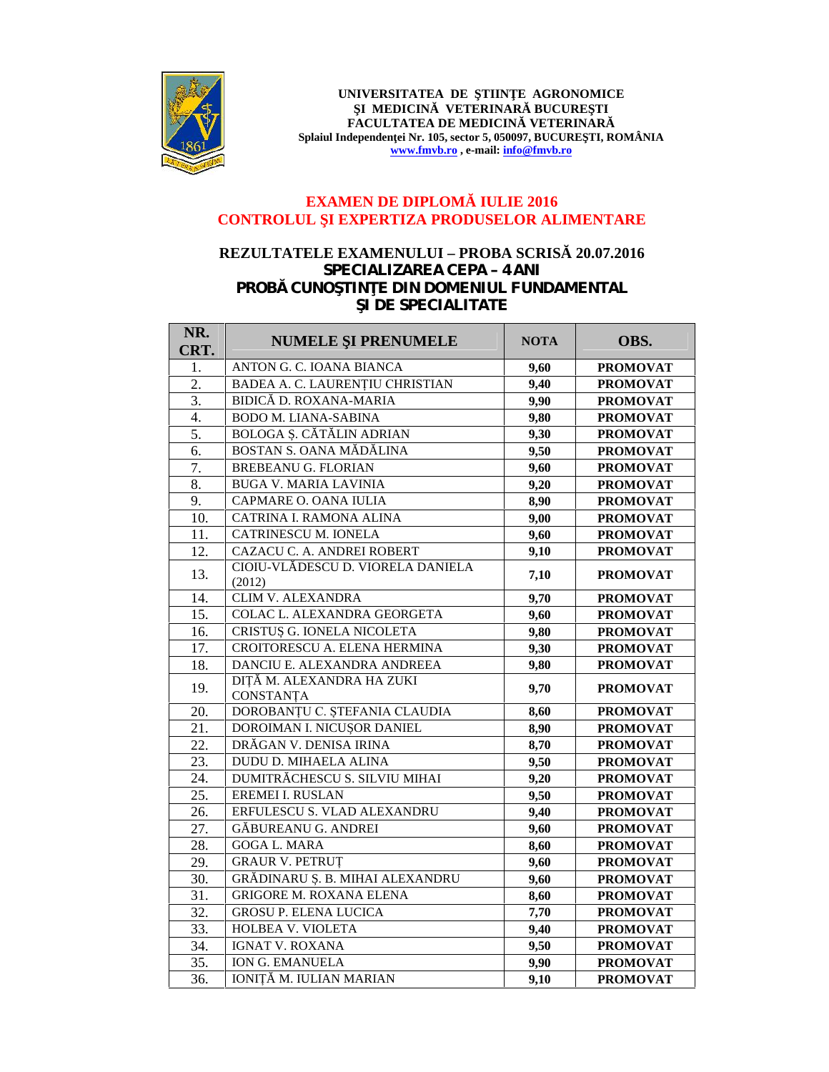

UNIVERSITATEA DE TIIN E AGRONOMICE **I MEDICIN VETERINAR BUCURE TI FACULTATEA DE MEDICIN VETERINAR** Splaiul Independen ei Nr. 105, sector 5, 050097, BUCURE TI, ROMÂNIA **www.fmvb.ro , e-mail: info@fmvb.ro**

## **EXAMEN DE DIPLOM IULIE 2016 CONTROLUL I EXPERTIZA PRODUSELOR ALIMENTARE**

## **REZULTATELE EXAMENULUI – PROBA SCRIS** 20.07.2016 *SPECIALIZAREA CEPA – 4 ANI* **PROB CUNO TIN E DIN DOMENIUL FUNDAMENTAL I DE SPECIALITATE**

| NR.<br>CRT. | NUMELE I PRENUMELE                          | <b>NOTA</b> | OBS.            |
|-------------|---------------------------------------------|-------------|-----------------|
| 1.          | ANTON G. C. IOANA BIANCA                    | 9,60        | <b>PROMOVAT</b> |
| 2.          | BADEA A. C. LAURENȚIU CHRISTIAN             | 9,40        | <b>PROMOVAT</b> |
| 3.          | BIDIC D. ROXANA-MARIA                       | 9,90        | <b>PROMOVAT</b> |
| 4.          | <b>BODO M. LIANA-SABINA</b>                 | 9,80        | <b>PROMOVAT</b> |
| 5.          | BOLOGA . C T LIN ADRIAN                     | 9,30        | <b>PROMOVAT</b> |
| 6.          | BOSTAN S. OANA M D LINA                     | 9,50        | <b>PROMOVAT</b> |
| 7.          | <b>BREBEANU G. FLORIAN</b>                  | 9,60        | <b>PROMOVAT</b> |
| 8.          | <b>BUGA V. MARIA LAVINIA</b>                | 9,20        | <b>PROMOVAT</b> |
| 9.          | CAPMARE O. OANA IULIA                       | 8,90        | <b>PROMOVAT</b> |
| 10.         | CATRINA I. RAMONA ALINA                     | 9,00        | <b>PROMOVAT</b> |
| 11.         | CATRINESCU M. IONELA                        | 9,60        | <b>PROMOVAT</b> |
| 12.         | CAZACU C. A. ANDREI ROBERT                  | 9,10        | <b>PROMOVAT</b> |
| 13.         | CIOIU-VL DESCU D. VIORELA DANIELA<br>(2012) | 7,10        | <b>PROMOVAT</b> |
| 14.         | CLIM V. ALEXANDRA                           | 9,70        | <b>PROMOVAT</b> |
| 15.         | COLAC L. ALEXANDRA GEORGETA                 | 9,60        | <b>PROMOVAT</b> |
| 16.         | CRISTU G. IONELA NICOLETA                   | 9,80        | <b>PROMOVAT</b> |
| 17.         | CROITORESCU A. ELENA HERMINA                | 9,30        | <b>PROMOVAT</b> |
| 18.         | DANCIU E. ALEXANDRA ANDREEA                 | 9,80        | <b>PROMOVAT</b> |
| 19.         | M. ALEXANDRA HA ZUKI<br>DIT<br>CONSTANȚA    | 9,70        | <b>PROMOVAT</b> |
| 20.         | DOROBANȚU C. ȘTEFANIA CLAUDIA               | 8,60        | <b>PROMOVAT</b> |
| 21.         | DOROIMAN I. NICU OR DANIEL                  | 8,90        | <b>PROMOVAT</b> |
| 22.         | DR GAN V. DENISA IRINA                      | 8,70        | <b>PROMOVAT</b> |
| 23.         | DUDU D. MIHAELA ALINA                       | 9,50        | <b>PROMOVAT</b> |
| 24.         | DUMITR CHESCU S. SILVIU MIHAI               | 9,20        | <b>PROMOVAT</b> |
| 25.         | <b>EREMEI I. RUSLAN</b>                     | 9,50        | <b>PROMOVAT</b> |
| 26.         | ERFULESCU S. VLAD ALEXANDRU                 | 9,40        | <b>PROMOVAT</b> |
| 27.         | <b>G BUREANU G. ANDREI</b>                  | 9,60        | <b>PROMOVAT</b> |
| 28.         | <b>GOGA L. MARA</b>                         | 8,60        | <b>PROMOVAT</b> |
| 29.         | <b>GRAUR V. PETRUT</b>                      | 9,60        | <b>PROMOVAT</b> |
| 30.         | GR DINARU . B. MIHAI ALEXANDRU              | 9,60        | <b>PROMOVAT</b> |
| 31.         | <b>GRIGORE M. ROXANA ELENA</b>              | 8,60        | <b>PROMOVAT</b> |
| 32.         | <b>GROSU P. ELENA LUCICA</b>                | 7,70        | <b>PROMOVAT</b> |
| 33.         | HOLBEA V. VIOLETA                           | 9,40        | <b>PROMOVAT</b> |
| 34.         | <b>IGNAT V. ROXANA</b>                      | 9,50        | <b>PROMOVAT</b> |
| 35.         | <b>ION G. EMANUELA</b>                      | 9,90        | <b>PROMOVAT</b> |
| 36.         | IONIT M. IULIAN MARIAN                      | 9,10        | <b>PROMOVAT</b> |